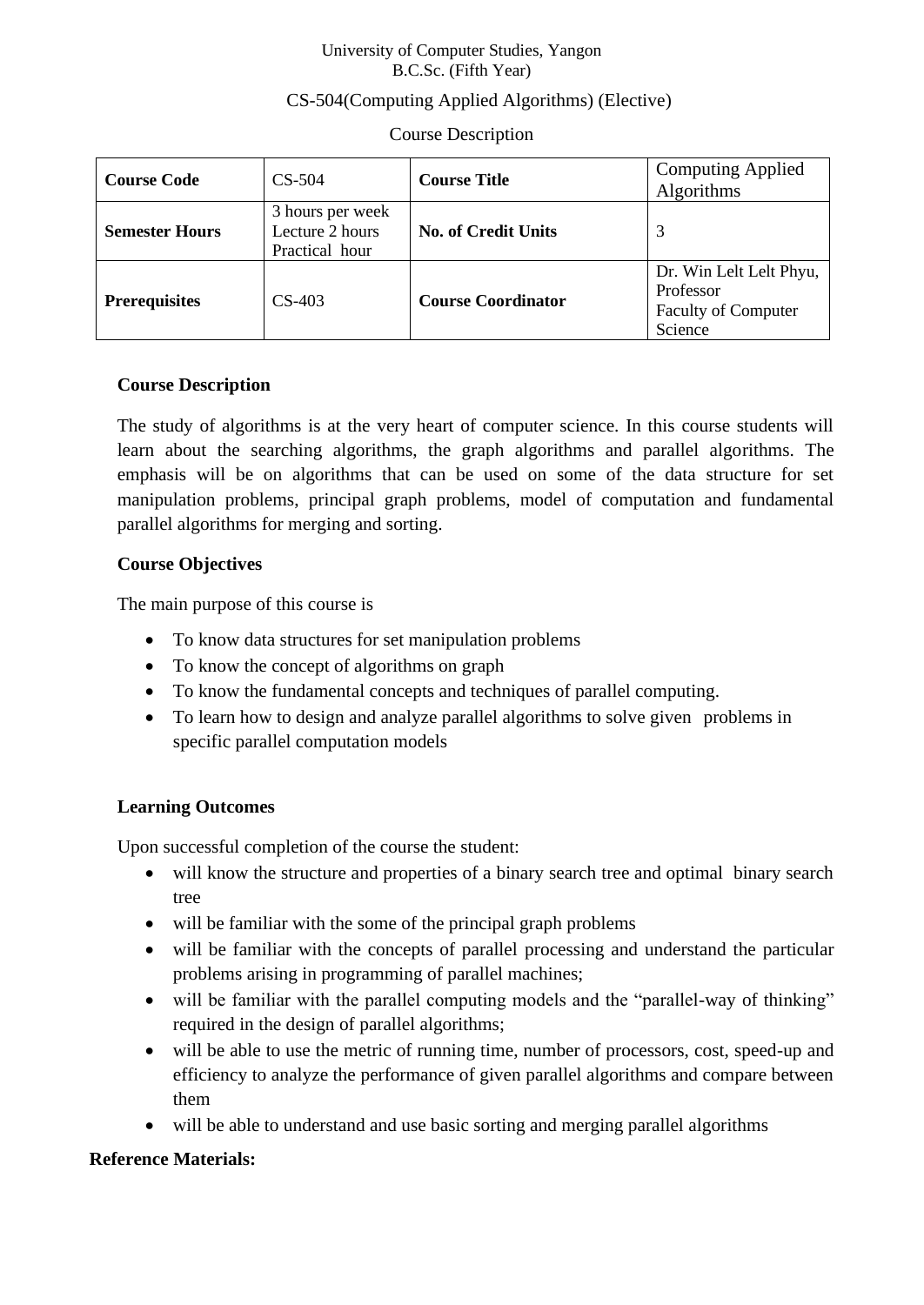#### University of Computer Studies, Yangon B.C.Sc. (Fifth Year)

# CS-504(Computing Applied Algorithms) (Elective)

#### Course Description

| <b>Course Code</b>    | $CS-504$                                              | <b>Course Title</b>        | <b>Computing Applied</b><br>Algorithms                                        |
|-----------------------|-------------------------------------------------------|----------------------------|-------------------------------------------------------------------------------|
| <b>Semester Hours</b> | 3 hours per week<br>Lecture 2 hours<br>Practical hour | <b>No. of Credit Units</b> |                                                                               |
| <b>Prerequisites</b>  | $CS-403$                                              | <b>Course Coordinator</b>  | Dr. Win Lelt Lelt Phyu,<br>Professor<br><b>Faculty of Computer</b><br>Science |

#### **Course Description**

The study of algorithms is at the very heart of computer science. In this course students will learn about the searching algorithms, the graph algorithms and parallel algorithms. The emphasis will be on algorithms that can be used on some of the data structure for set manipulation problems, principal graph problems, model of computation and fundamental parallel algorithms for merging and sorting.

#### **Course Objectives**

The main purpose of this course is

- To know data structures for set manipulation problems
- To know the concept of algorithms on graph
- To know the fundamental concepts and techniques of parallel computing.
- To learn how to design and analyze parallel algorithms to solve given problems in specific parallel computation models

# **Learning Outcomes**

Upon successful completion of the course the student:

- will know the structure and properties of a binary search tree and optimal binary search tree
- will be familiar with the some of the principal graph problems
- will be familiar with the concepts of parallel processing and understand the particular problems arising in programming of parallel machines;
- will be familiar with the parallel computing models and the "parallel-way of thinking" required in the design of parallel algorithms;
- will be able to use the metric of running time, number of processors, cost, speed-up and efficiency to analyze the performance of given parallel algorithms and compare between them
- will be able to understand and use basic sorting and merging parallel algorithms

# **Reference Materials:**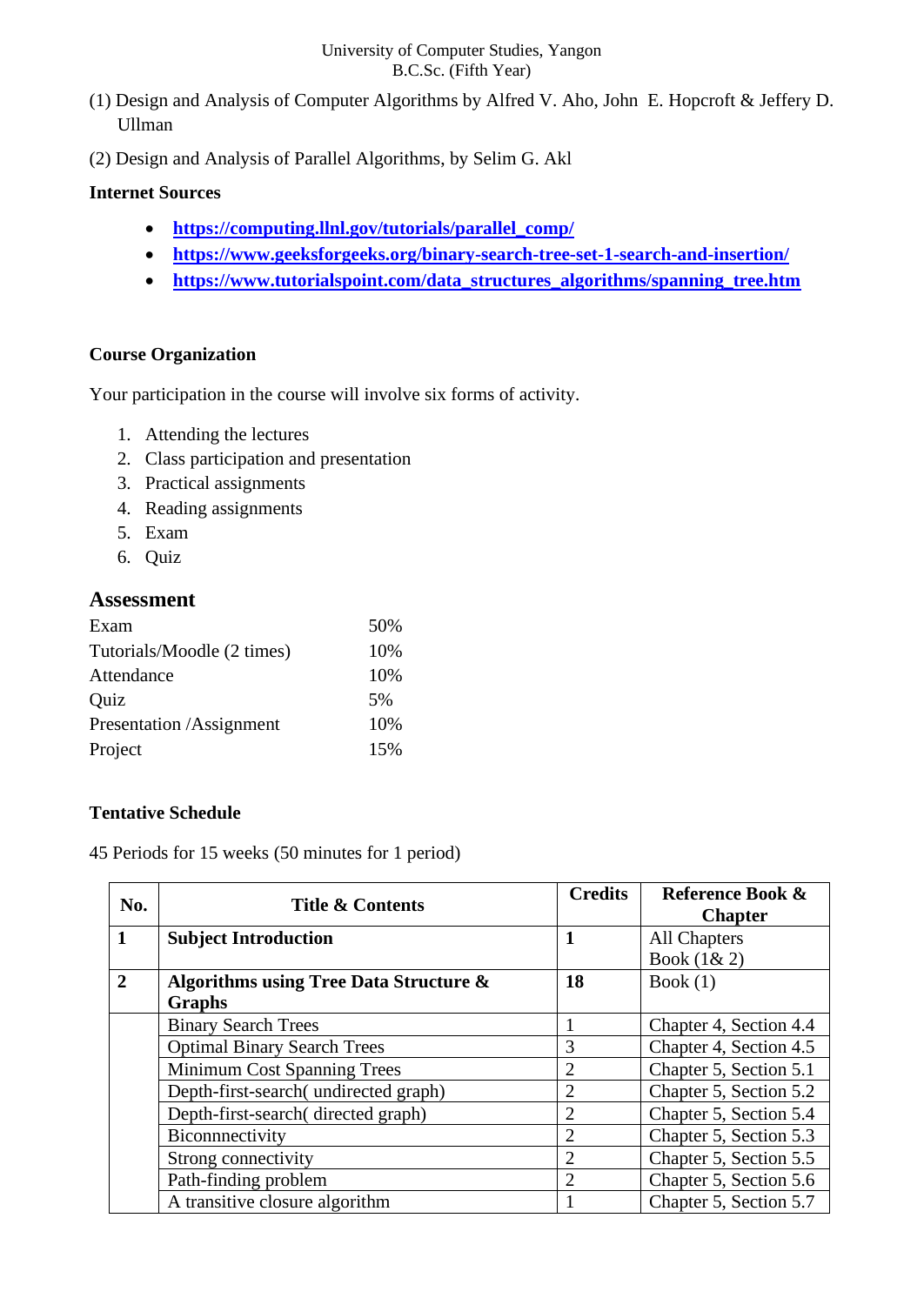#### University of Computer Studies, Yangon B.C.Sc. (Fifth Year)

- (1) Design and Analysis of Computer Algorithms by Alfred V. Aho, John E. Hopcroft & Jeffery D. Ullman
- (2) Design and Analysis of Parallel Algorithms, by Selim G. Akl

### **Internet Sources**

- **[https://computing.llnl.gov/tutorials/parallel\\_comp/](https://computing.llnl.gov/tutorials/parallel_comp/)**
- **<https://www.geeksforgeeks.org/binary-search-tree-set-1-search-and-insertion/>**
- **[https://www.tutorialspoint.com/data\\_structures\\_algorithms/spanning\\_tree.htm](https://www.tutorialspoint.com/data_structures_algorithms/spanning_tree.htm)**

# **Course Organization**

Your participation in the course will involve six forms of activity.

- 1. Attending the lectures
- 2. Class participation and presentation
- 3. Practical assignments
- 4. Reading assignments
- 5. Exam
- 6. Quiz

#### **Assessment**

| Exam                       | 50% |
|----------------------------|-----|
| Tutorials/Moodle (2 times) | 10% |
| Attendance                 | 10% |
| Quiz                       | 5%  |
| Presentation /Assignment   | 10% |
| Project                    | 15% |

# **Tentative Schedule**

45 Periods for 15 weeks (50 minutes for 1 period)

| No.          | <b>Title &amp; Contents</b>                       | <b>Credits</b> | Reference Book &<br><b>Chapter</b> |
|--------------|---------------------------------------------------|----------------|------------------------------------|
|              | <b>Subject Introduction</b>                       |                | All Chapters                       |
|              |                                                   |                | Book (1& 2)                        |
| $\mathbf{2}$ | <b>Algorithms using Tree Data Structure &amp;</b> | 18             | Book $(1)$                         |
|              | <b>Graphs</b>                                     |                |                                    |
|              | <b>Binary Search Trees</b>                        |                | Chapter 4, Section 4.4             |
|              | <b>Optimal Binary Search Trees</b>                | 3              | Chapter 4, Section 4.5             |
|              | Minimum Cost Spanning Trees                       | $\overline{2}$ | Chapter 5, Section 5.1             |
|              | Depth-first-search(undirected graph)              | $\overline{2}$ | Chapter 5, Section 5.2             |
|              | Depth-first-search(directed graph)                | $\overline{2}$ | Chapter 5, Section 5.4             |
|              | Biconnectivity                                    | 2              | Chapter 5, Section 5.3             |
|              | Strong connectivity                               | $\overline{2}$ | Chapter 5, Section 5.5             |
|              | Path-finding problem                              | $\overline{2}$ | Chapter 5, Section 5.6             |
|              | A transitive closure algorithm                    |                | Chapter 5, Section 5.7             |